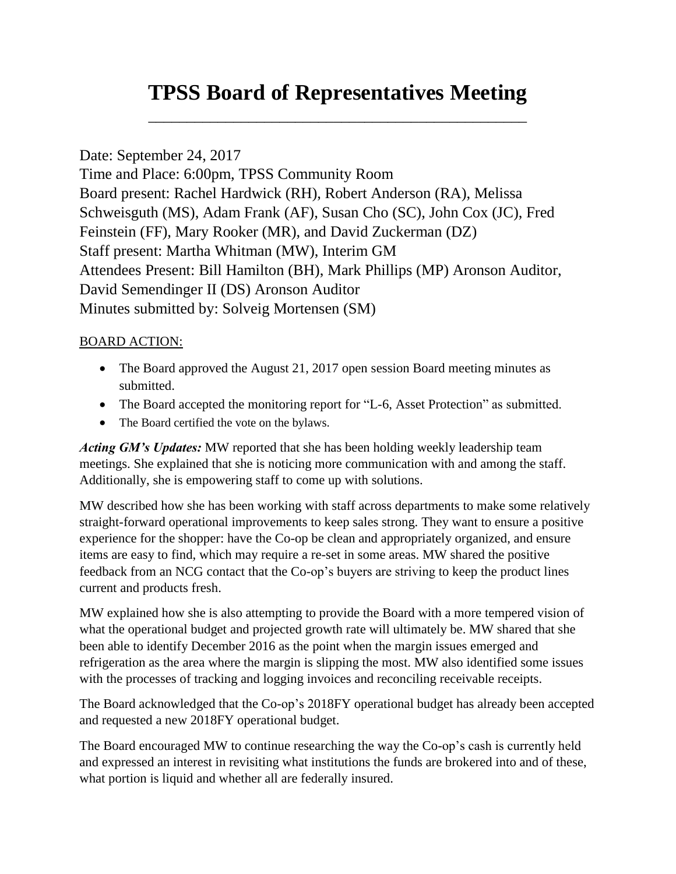# **TPSS Board of Representatives Meeting**

\_\_\_\_\_\_\_\_\_\_\_\_\_\_\_\_\_\_\_\_\_\_\_\_\_\_\_\_\_\_\_\_\_\_\_\_\_\_\_\_\_\_\_\_\_\_\_\_\_

## Date: September 24, 2017

Time and Place: 6:00pm, TPSS Community Room Board present: Rachel Hardwick (RH), Robert Anderson (RA), Melissa Schweisguth (MS), Adam Frank (AF), Susan Cho (SC), John Cox (JC), Fred Feinstein (FF), Mary Rooker (MR), and David Zuckerman (DZ) Staff present: Martha Whitman (MW), Interim GM Attendees Present: Bill Hamilton (BH), Mark Phillips (MP) Aronson Auditor, [David Semendinger II](http://www.aronsonllc.com/our-firm/our-people/partner-profiles/item/david-h-semendinger-ii) (DS) Aronson Auditor Minutes submitted by: Solveig Mortensen (SM)

#### BOARD ACTION:

- The Board approved the August 21, 2017 open session Board meeting minutes as submitted.
- The Board accepted the monitoring report for "L-6, Asset Protection" as submitted.
- The Board certified the vote on the bylaws.

*Acting GM's Updates:* MW reported that she has been holding weekly leadership team meetings. She explained that she is noticing more communication with and among the staff. Additionally, she is empowering staff to come up with solutions.

MW described how she has been working with staff across departments to make some relatively straight-forward operational improvements to keep sales strong. They want to ensure a positive experience for the shopper: have the Co-op be clean and appropriately organized, and ensure items are easy to find, which may require a re-set in some areas. MW shared the positive feedback from an NCG contact that the Co-op's buyers are striving to keep the product lines current and products fresh.

MW explained how she is also attempting to provide the Board with a more tempered vision of what the operational budget and projected growth rate will ultimately be. MW shared that she been able to identify December 2016 as the point when the margin issues emerged and refrigeration as the area where the margin is slipping the most. MW also identified some issues with the processes of tracking and logging invoices and reconciling receivable receipts.

The Board acknowledged that the Co-op's 2018FY operational budget has already been accepted and requested a new 2018FY operational budget.

The Board encouraged MW to continue researching the way the Co-op's cash is currently held and expressed an interest in revisiting what institutions the funds are brokered into and of these, what portion is liquid and whether all are federally insured.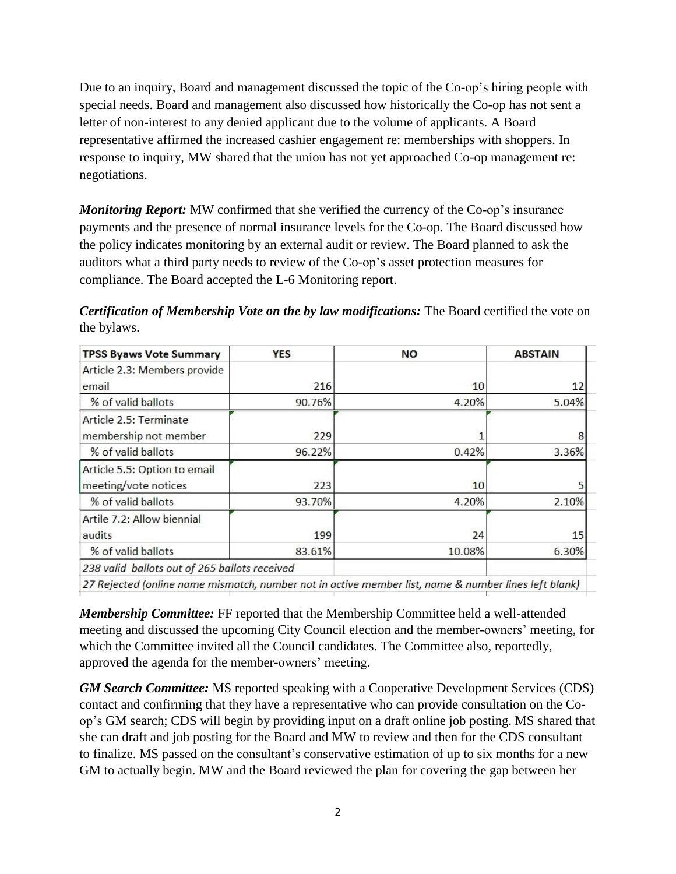Due to an inquiry, Board and management discussed the topic of the Co-op's hiring people with special needs. Board and management also discussed how historically the Co-op has not sent a letter of non-interest to any denied applicant due to the volume of applicants. A Board representative affirmed the increased cashier engagement re: memberships with shoppers. In response to inquiry, MW shared that the union has not yet approached Co-op management re: negotiations.

*Monitoring Report:* MW confirmed that she verified the currency of the Co-op's insurance payments and the presence of normal insurance levels for the Co-op. The Board discussed how the policy indicates monitoring by an external audit or review. The Board planned to ask the auditors what a third party needs to review of the Co-op's asset protection measures for compliance. The Board accepted the L-6 Monitoring report.

*Certification of Membership Vote on the by law modifications:* The Board certified the vote on the bylaws.

| <b>TPSS Byaws Vote Summary</b>                                                                       | <b>YES</b> | <b>NO</b> | <b>ABSTAIN</b> |  |
|------------------------------------------------------------------------------------------------------|------------|-----------|----------------|--|
| Article 2.3: Members provide                                                                         |            |           |                |  |
| email                                                                                                | 216        | 10        | 12             |  |
| % of valid ballots                                                                                   | 90.76%     | 4.20%     | 5.04%          |  |
| Article 2.5: Terminate                                                                               |            |           |                |  |
| membership not member                                                                                | 229        |           |                |  |
| % of valid ballots                                                                                   | 96.22%     | 0.42%     | 3.36%          |  |
| Article 5.5: Option to email                                                                         |            |           |                |  |
| meeting/vote notices                                                                                 | 223        | 10        |                |  |
| % of valid ballots                                                                                   | 93.70%     | 4.20%     | 2.10%          |  |
| Artile 7.2: Allow biennial                                                                           |            |           |                |  |
| audits                                                                                               | 199        | 24        | 15             |  |
| % of valid ballots                                                                                   | 83.61%     | 10.08%    | 6.30%          |  |
| 238 valid ballots out of 265 ballots received                                                        |            |           |                |  |
| 27 Rejected (online name mismatch, number not in active member list, name & number lines left blank) |            |           |                |  |

*Membership Committee:* FF reported that the Membership Committee held a well-attended meeting and discussed the upcoming City Council election and the member-owners' meeting, for which the Committee invited all the Council candidates. The Committee also, reportedly, approved the agenda for the member-owners' meeting.

*GM Search Committee:* MS reported speaking with a Cooperative Development Services (CDS) contact and confirming that they have a representative who can provide consultation on the Coop's GM search; CDS will begin by providing input on a draft online job posting. MS shared that she can draft and job posting for the Board and MW to review and then for the CDS consultant to finalize. MS passed on the consultant's conservative estimation of up to six months for a new GM to actually begin. MW and the Board reviewed the plan for covering the gap between her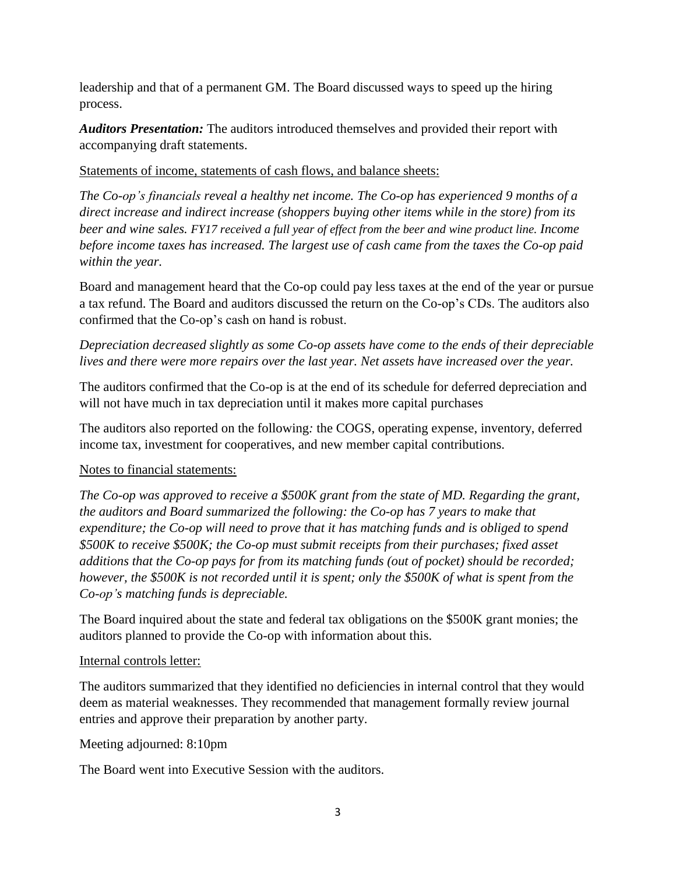leadership and that of a permanent GM. The Board discussed ways to speed up the hiring process.

*Auditors Presentation:* The auditors introduced themselves and provided their report with accompanying draft statements.

#### Statements of income, statements of cash flows, and balance sheets:

*The Co-op's financials reveal a healthy net income. The Co-op has experienced 9 months of a direct increase and indirect increase (shoppers buying other items while in the store) from its beer and wine sales. FY17 received a full year of effect from the beer and wine product line. Income before income taxes has increased. The largest use of cash came from the taxes the Co-op paid within the year.*

Board and management heard that the Co-op could pay less taxes at the end of the year or pursue a tax refund. The Board and auditors discussed the return on the Co-op's CDs. The auditors also confirmed that the Co-op's cash on hand is robust.

### *Depreciation decreased slightly as some Co-op assets have come to the ends of their depreciable lives and there were more repairs over the last year. Net assets have increased over the year.*

The auditors confirmed that the Co-op is at the end of its schedule for deferred depreciation and will not have much in tax depreciation until it makes more capital purchases

The auditors also reported on the following*:* the COGS, operating expense, inventory, deferred income tax, investment for cooperatives, and new member capital contributions.

## Notes to financial statements:

*The Co-op was approved to receive a \$500K grant from the state of MD. Regarding the grant, the auditors and Board summarized the following: the Co-op has 7 years to make that expenditure; the Co-op will need to prove that it has matching funds and is obliged to spend \$500K to receive \$500K; the Co-op must submit receipts from their purchases; fixed asset additions that the Co-op pays for from its matching funds (out of pocket) should be recorded; however, the \$500K is not recorded until it is spent; only the \$500K of what is spent from the Co-op's matching funds is depreciable.*

The Board inquired about the state and federal tax obligations on the \$500K grant monies; the auditors planned to provide the Co-op with information about this.

#### Internal controls letter:

The auditors summarized that they identified no deficiencies in internal control that they would deem as material weaknesses. They recommended that management formally review journal entries and approve their preparation by another party.

Meeting adjourned: 8:10pm

The Board went into Executive Session with the auditors.